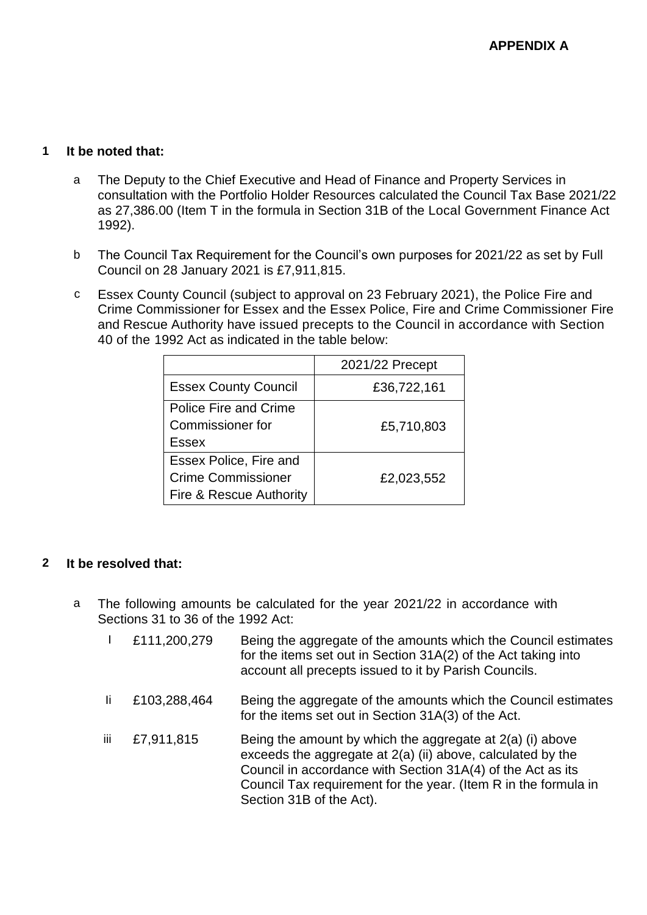# **1 It be noted that:**

- a The Deputy to the Chief Executive and Head of Finance and Property Services in consultation with the Portfolio Holder Resources calculated the Council Tax Base 2021/22 as 27,386.00 (Item T in the formula in Section 31B of the Local Government Finance Act 1992).
- b The Council Tax Requirement for the Council's own purposes for 2021/22 as set by Full Council on 28 January 2021 is £7,911,815.
- c Essex County Council (subject to approval on 23 February 2021), the Police Fire and Crime Commissioner for Essex and the Essex Police, Fire and Crime Commissioner Fire and Rescue Authority have issued precepts to the Council in accordance with Section 40 of the 1992 Act as indicated in the table below:

|                             | 2021/22 Precept |
|-----------------------------|-----------------|
| <b>Essex County Council</b> | £36,722,161     |
| Police Fire and Crime       |                 |
| Commissioner for            | £5,710,803      |
| Essex                       |                 |
| Essex Police, Fire and      |                 |
| <b>Crime Commissioner</b>   | £2,023,552      |
| Fire & Rescue Authority     |                 |

# **2 It be resolved that:**

- a The following amounts be calculated for the year 2021/22 in accordance with Sections 31 to 36 of the 1992 Act:
	- I £111,200,279 Being the aggregate of the amounts which the Council estimates for the items set out in Section 31A(2) of the Act taking into account all precepts issued to it by Parish Councils.
	- Ii £103,288,464 Being the aggregate of the amounts which the Council estimates for the items set out in Section 31A(3) of the Act.
	- iii  $\pm$ 7,911,815 Being the amount by which the aggregate at 2(a) (i) above exceeds the aggregate at 2(a) (ii) above, calculated by the Council in accordance with Section 31A(4) of the Act as its Council Tax requirement for the year. (Item R in the formula in Section 31B of the Act).